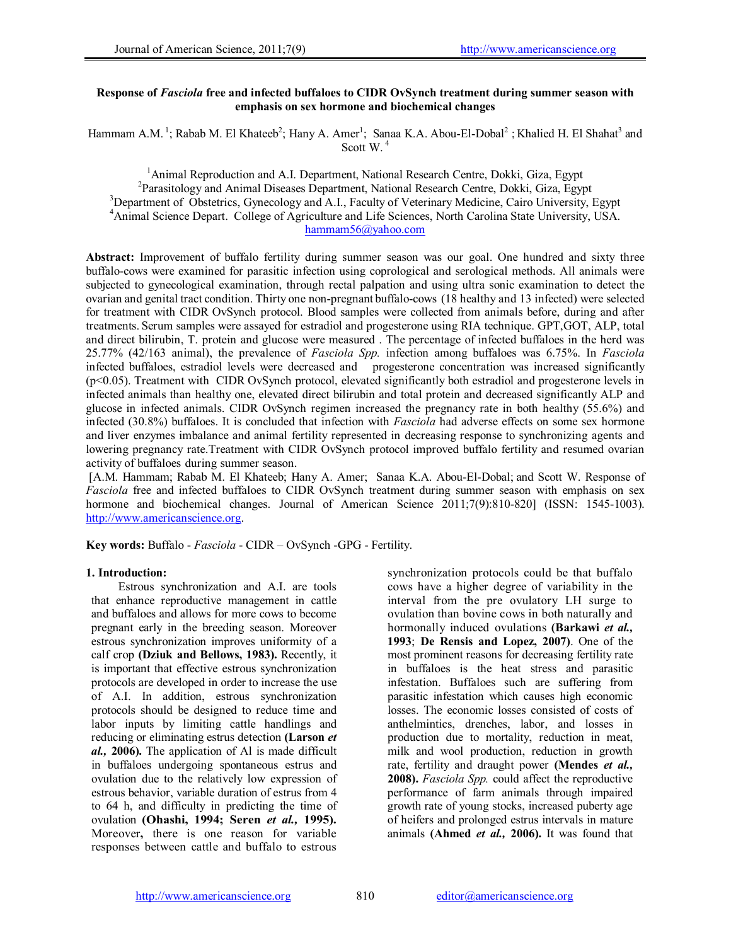### Response of *Fasciola* free and infected buffaloes to CIDR OvSynch treatment during summer season with emphasis on sex hormone and biochemical changes

Hammam A.M.<sup>1</sup>; Rabab M. El Khateeb<sup>2</sup>; Hany A. Amer<sup>1</sup>; Sanaa K.A. Abou-El-Dobal<sup>2</sup>; Khalied H. El Shahat<sup>3</sup> and Scott W<sup>4</sup>

<sup>1</sup> Animal Reproduction and A.I. Department, National Research Centre, Dokki, Giza, Egypt<br><sup>2</sup> Parasitology and Animal Diseases Department, National Research Centre, Dokki, Giza, Egypt Parasitology and Animal Diseases Department, National Research Centre, Dokki, Giza, Egypt <sup>3</sup>Department of Obstetrics, Gynecology and A.I., Faculty of Veterinary Medicine, Cairo University, Egypt 4 Animal Science Depart. College of Agriculture and Life Sciences, North Carolina State University, USA. hammam56@yahoo.com

Abstract: Improvement of buffalo fertility during summer season was our goal. One hundred and sixty three buffalo-cows were examined for parasitic infection using coprological and serological methods. All animals were subjected to gynecological examination, through rectal palpation and using ultra sonic examination to detect the ovarian and genital tract condition. Thirty one non-pregnant buffalo-cows (18 healthy and 13 infected) were selected for treatment with CIDR OvSynch protocol. Blood samples were collected from animals before, during and after treatments. Serum samples were assayed for estradiol and progesterone using RIA technique. GPT,GOT, ALP, total and direct bilirubin, T. protein and glucose were measured . The percentage of infected buffaloes in the herd was 25.77% (42/163 animal), the prevalence of *Fasciola Spp.* infection among buffaloes was 6.75%. In *Fasciola* infected buffaloes, estradiol levels were decreased and progesterone concentration was increased significantly (p<0.05). Treatment with CIDR OvSynch protocol, elevated significantly both estradiol and progesterone levels in infected animals than healthy one, elevated direct bilirubin and total protein and decreased significantly ALP and glucose in infected animals. CIDR OvSynch regimen increased the pregnancy rate in both healthy (55.6%) and infected (30.8%) buffaloes. It is concluded that infection with *Fasciola* had adverse effects on some sex hormone and liver enzymes imbalance and animal fertility represented in decreasing response to synchronizing agents and lowering pregnancy rate.Treatment with CIDR OvSynch protocol improved buffalo fertility and resumed ovarian activity of buffaloes during summer season.

 [A.M. Hammam; Rabab M. El Khateeb; Hany A. Amer; Sanaa K.A. Abou-El-Dobal; and Scott W. Response of *Fasciola* free and infected buffaloes to CIDR OvSynch treatment during summer season with emphasis on sex hormone and biochemical changes. Journal of American Science 2011;7(9):810-820] (ISSN: 1545-1003). http://www.americanscience.org.

Key words: Buffalo - *Fasciola* - CIDR – OvSynch -GPG - Fertility.

### 1. Introduction:

Estrous synchronization and A.I. are tools that enhance reproductive management in cattle and buffaloes and allows for more cows to become pregnant early in the breeding season. Moreover estrous synchronization improves uniformity of a calf crop (Dziuk and Bellows, 1983). Recently, it is important that effective estrous synchronization protocols are developed in order to increase the use of A.I. In addition, estrous synchronization protocols should be designed to reduce time and labor inputs by limiting cattle handlings and reducing or eliminating estrus detection (Larson *et al.,* 2006). The application of Al is made difficult in buffaloes undergoing spontaneous estrus and ovulation due to the relatively low expression of estrous behavior, variable duration of estrus from 4 to 64 h, and difficulty in predicting the time of ovulation (Ohashi, 1994; Seren *et al.,* 1995). Moreover, there is one reason for variable responses between cattle and buffalo to estrous

synchronization protocols could be that buffalo cows have a higher degree of variability in the interval from the pre ovulatory LH surge to ovulation than bovine cows in both naturally and hormonally induced ovulations (Barkawi *et al.,* 1993; De Rensis and Lopez, 2007). One of the most prominent reasons for decreasing fertility rate in buffaloes is the heat stress and parasitic infestation. Buffaloes such are suffering from parasitic infestation which causes high economic losses. The economic losses consisted of costs of anthelmintics, drenches, labor, and losses in production due to mortality, reduction in meat, milk and wool production, reduction in growth rate, fertility and draught power (Mendes *et al.,* 2008). *Fasciola Spp.* could affect the reproductive performance of farm animals through impaired growth rate of young stocks, increased puberty age of heifers and prolonged estrus intervals in mature animals (Ahmed *et al.,* 2006). It was found that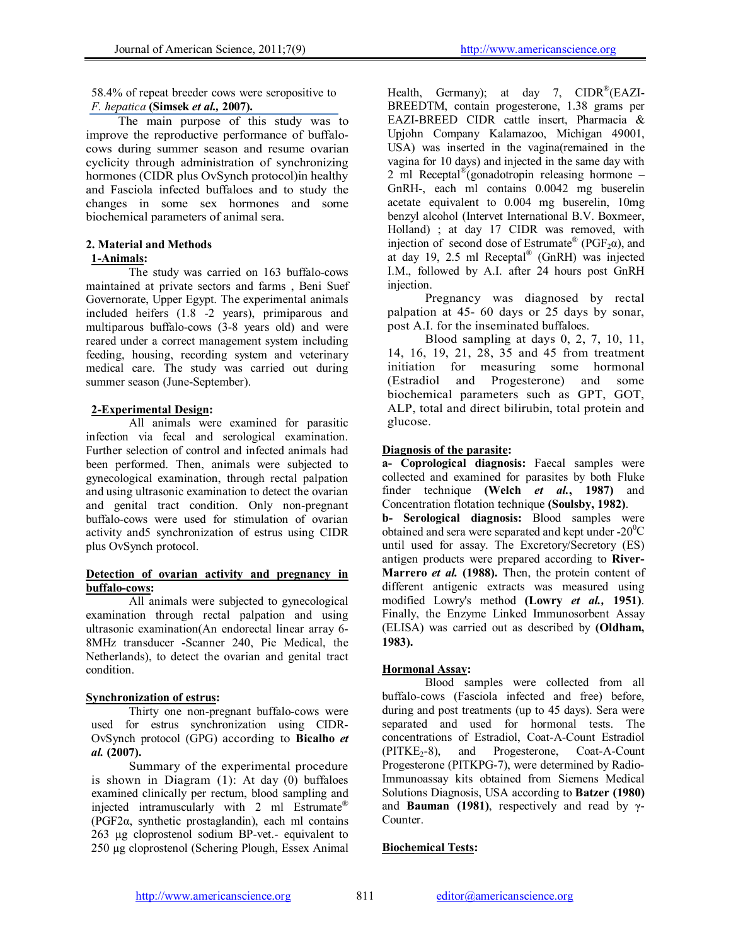58.4% of repeat breeder cows were seropositive to *F. hepatica* (Simsek *et al.,* 2007).

The main purpose of this study was to improve the reproductive performance of buffalocows during summer season and resume ovarian cyclicity through administration of synchronizing hormones (CIDR plus OvSynch protocol)in healthy and Fasciola infected buffaloes and to study the changes in some sex hormones and some biochemical parameters of animal sera.

### 2. Material and Methods 1-Animals:

The study was carried on 163 buffalo-cows maintained at private sectors and farms , Beni Suef Governorate, Upper Egypt. The experimental animals included heifers (1.8 -2 years), primiparous and multiparous buffalo-cows (3-8 years old) and were reared under a correct management system including feeding, housing, recording system and veterinary medical care. The study was carried out during summer season (June-September).

## 2-Experimental Design:

All animals were examined for parasitic infection via fecal and serological examination. Further selection of control and infected animals had been performed. Then, animals were subjected to gynecological examination, through rectal palpation and using ultrasonic examination to detect the ovarian and genital tract condition. Only non-pregnant buffalo-cows were used for stimulation of ovarian activity and5 synchronization of estrus using CIDR plus OvSynch protocol.

### Detection of ovarian activity and pregnancy in buffalo-cows:

All animals were subjected to gynecological examination through rectal palpation and using ultrasonic examination(An endorectal linear array 6- 8MHz transducer -Scanner 240, Pie Medical, the Netherlands), to detect the ovarian and genital tract condition.

## Synchronization of estrus:

Thirty one non-pregnant buffalo-cows were used for estrus synchronization using CIDR-OvSynch protocol (GPG) according to Bicalho *et al.* (2007).

Summary of the experimental procedure is shown in Diagram (1): At day (0) buffaloes examined clinically per rectum, blood sampling and injected intramuscularly with 2 ml Estrumate® (PGF2α, synthetic prostaglandin), each ml contains 263 µg cloprostenol sodium BP-vet.- equivalent to 250 µg cloprostenol (Schering Plough, Essex Animal Health, Germany); at day 7, CIDR<sup>®</sup>(EAZI-BREEDTM, contain progesterone, 1.38 grams per EAZI-BREED CIDR cattle insert, Pharmacia & Upjohn Company Kalamazoo, Michigan 49001, USA) was inserted in the vagina(remained in the vagina for 10 days) and injected in the same day with 2 ml Receptal<sup>®</sup>(gonadotropin releasing hormone – GnRH-, each ml contains 0.0042 mg buserelin acetate equivalent to 0.004 mg buserelin, 10mg benzyl alcohol (Intervet International B.V. Boxmeer, Holland) ; at day 17 CIDR was removed, with injection of second dose of Estrumate<sup>®</sup> (PGF<sub>2</sub> $\alpha$ ), and at day 19, 2.5 ml Receptal® (GnRH) was injected I.M., followed by A.I. after 24 hours post GnRH injection.

Pregnancy was diagnosed by rectal palpation at 45- 60 days or 25 days by sonar, post A.I. for the inseminated buffaloes.

Blood sampling at days 0, 2, 7, 10, 11, 14, 16, 19, 21, 28, 35 and 45 from treatment initiation for measuring some hormonal (Estradiol and Progesterone) and some biochemical parameters such as GPT, GOT, ALP, total and direct bilirubin, total protein and glucose.

# Diagnosis of the parasite:

a- Coprological diagnosis: Faecal samples were collected and examined for parasites by both Fluke finder technique (Welch *et al.*, 1987) and Concentration flotation technique (Soulsby, 1982).

b- Serological diagnosis: Blood samples were obtained and sera were separated and kept under - $20^0C$ until used for assay. The Excretory/Secretory (ES) antigen products were prepared according to River-Marrero *et al.* (1988). Then, the protein content of different antigenic extracts was measured using modified Lowry's method (Lowry *et al.,* 1951). Finally, the Enzyme Linked Immunosorbent Assay (ELISA) was carried out as described by (Oldham, 1983).

## Hormonal Assay:

Blood samples were collected from all buffalo-cows (Fasciola infected and free) before, during and post treatments (up to 45 days). Sera were separated and used for hormonal tests. The concentrations of Estradiol, Coat-A-Count Estradiol  $(PITKE<sub>2</sub>-8)$ , and Progesterone, Coat-A-Count Progesterone (PITKPG-7), were determined by Radio-Immunoassay kits obtained from Siemens Medical Solutions Diagnosis, USA according to Batzer (1980) and **Bauman** (1981), respectively and read by  $\gamma$ -Counter.

# Biochemical Tests: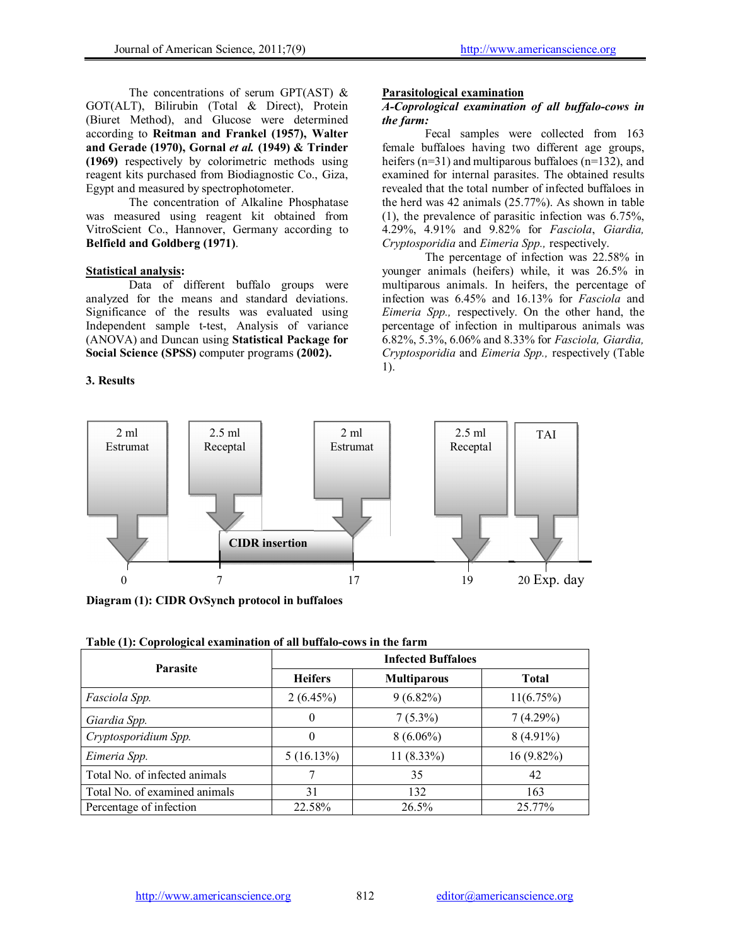The concentrations of serum GPT(AST)  $\&$ GOT(ALT), Bilirubin (Total & Direct), Protein (Biuret Method), and Glucose were determined according to Reitman and Frankel (1957), Walter and Gerade (1970), Gornal *et al.* (1949) & Trinder (1969) respectively by colorimetric methods using reagent kits purchased from Biodiagnostic Co., Giza, Egypt and measured by spectrophotometer.

The concentration of Alkaline Phosphatase was measured using reagent kit obtained from VitroScient Co., Hannover, Germany according to Belfield and Goldberg (1971).

### Statistical analysis:

Data of different buffalo groups were analyzed for the means and standard deviations. Significance of the results was evaluated using Independent sample t-test, Analysis of variance (ANOVA) and Duncan using Statistical Package for Social Science (SPSS) computer programs (2002).

## 3. Results

#### Parasitological examination

#### *A-Coprological examination of all buffalo-cows in the farm:*

Fecal samples were collected from 163 female buffaloes having two different age groups, heifers (n=31) and multiparous buffaloes (n=132), and examined for internal parasites. The obtained results revealed that the total number of infected buffaloes in the herd was 42 animals (25.77%). As shown in table (1), the prevalence of parasitic infection was 6.75%, 4.29%, 4.91% and 9.82% for *Fasciola*, *Giardia, Cryptosporidia* and *Eimeria Spp.,* respectively.

The percentage of infection was 22.58% in younger animals (heifers) while, it was 26.5% in multiparous animals. In heifers, the percentage of infection was 6.45% and 16.13% for *Fasciola* and *Eimeria Spp.,* respectively. On the other hand, the percentage of infection in multiparous animals was 6.82%, 5.3%, 6.06% and 8.33% for *Fasciola, Giardia, Cryptosporidia* and *Eimeria Spp.,* respectively (Table 1).



Diagram (1): CIDR OvSynch protocol in buffaloes

| Table (1): Coprological examination of all buffalo-cows in the farm |  |
|---------------------------------------------------------------------|--|
|---------------------------------------------------------------------|--|

| <b>Parasite</b>               | <b>Infected Buffaloes</b> |              |              |  |  |  |  |
|-------------------------------|---------------------------|--------------|--------------|--|--|--|--|
|                               | <b>Heifers</b>            | <b>Total</b> |              |  |  |  |  |
| Fasciola Spp.                 | $2(6.45\%)$               | $9(6.82\%)$  | $11(6.75\%)$ |  |  |  |  |
| Giardia Spp.                  | $\theta$                  | $7(5.3\%)$   | 7(4.29%)     |  |  |  |  |
| Cryptosporidium Spp.          | $\theta$                  | $8(6.06\%)$  | $8(4.91\%)$  |  |  |  |  |
| Eimeria Spp.                  | $5(16.13\%)$              | $11(8.33\%)$ | $16(9.82\%)$ |  |  |  |  |
| Total No. of infected animals |                           | 35           | 42           |  |  |  |  |
| Total No. of examined animals | 31                        | 132          | 163          |  |  |  |  |
| Percentage of infection       | 22.58%                    | $26.5\%$     | 25.77%       |  |  |  |  |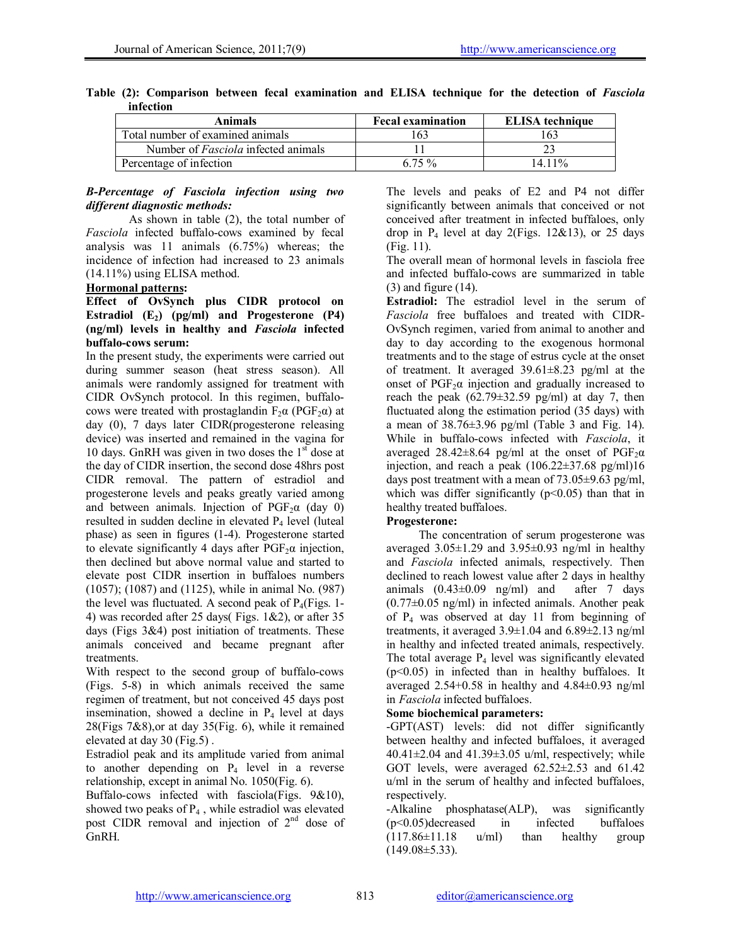| Animals                                    | <b>Fecal examination</b> | <b>ELISA</b> technique |  |  |  |
|--------------------------------------------|--------------------------|------------------------|--|--|--|
| Total number of examined animals           | 63                       |                        |  |  |  |
| Number of <i>Fasciola</i> infected animals |                          |                        |  |  |  |
| Percentage of infection                    | 6.75 %                   | 14 11%                 |  |  |  |

|  |           |  | Table (2): Comparison between fecal examination and ELISA technique for the detection of Fasciola |  |  |  |  |
|--|-----------|--|---------------------------------------------------------------------------------------------------|--|--|--|--|
|  | infection |  |                                                                                                   |  |  |  |  |

### *B-Percentage of Fasciola infection using two different diagnostic methods:*

As shown in table (2), the total number of *Fasciola* infected buffalo-cows examined by fecal analysis was 11 animals (6.75%) whereas; the incidence of infection had increased to 23 animals (14.11%) using ELISA method.

### Hormonal patterns:

### Effect of OvSynch plus CIDR protocol on Estradiol  $(E_2)$  (pg/ml) and Progesterone (P4) (ng/ml) levels in healthy and *Fasciola* infected buffalo-cows serum:

In the present study, the experiments were carried out during summer season (heat stress season). All animals were randomly assigned for treatment with CIDR OvSynch protocol. In this regimen, buffalocows were treated with prostaglandin  $F_2\alpha$  (PGF<sub>2</sub> $\alpha$ ) at day (0), 7 days later CIDR(progesterone releasing device) was inserted and remained in the vagina for 10 days. GnRH was given in two doses the  $1<sup>st</sup>$  dose at the day of CIDR insertion, the second dose 48hrs post CIDR removal. The pattern of estradiol and progesterone levels and peaks greatly varied among and between animals. Injection of  $PGF<sub>2</sub>α$  (day 0) resulted in sudden decline in elevated  $P_4$  level (luteal phase) as seen in figures (1-4). Progesterone started to elevate significantly 4 days after  $PGF<sub>2</sub>α$  injection, then declined but above normal value and started to elevate post CIDR insertion in buffaloes numbers (1057); (1087) and (1125), while in animal No. (987) the level was fluctuated. A second peak of  $P_4$ (Figs. 1-4) was recorded after 25 days( Figs. 1&2), or after 35 days (Figs 3&4) post initiation of treatments. These animals conceived and became pregnant after treatments.

With respect to the second group of buffalo-cows (Figs. 5-8) in which animals received the same regimen of treatment, but not conceived 45 days post insemination, showed a decline in  $P_4$  level at days 28(Figs 7&8),or at day 35(Fig. 6), while it remained elevated at day 30 (Fig.5) .

Estradiol peak and its amplitude varied from animal to another depending on  $P_4$  level in a reverse relationship, except in animal No. 1050(Fig. 6).

Buffalo-cows infected with fasciola(Figs. 9&10), showed two peaks of  $P_4$ , while estradiol was elevated post CIDR removal and injection of  $2<sup>nd</sup>$  dose of GnRH.

The levels and peaks of E2 and P4 not differ significantly between animals that conceived or not conceived after treatment in infected buffaloes, only drop in  $P_4$  level at day 2(Figs. 12&13), or 25 days (Fig. 11).

The overall mean of hormonal levels in fasciola free and infected buffalo-cows are summarized in table (3) and figure (14).

Estradiol: The estradiol level in the serum of *Fasciola* free buffaloes and treated with CIDR-OvSynch regimen, varied from animal to another and day to day according to the exogenous hormonal treatments and to the stage of estrus cycle at the onset of treatment. It averaged  $39.61 \pm 8.23$  pg/ml at the onset of  $PGF_2\alpha$  injection and gradually increased to reach the peak  $(62.79 \pm 32.59 \text{ pg/ml})$  at day 7, then fluctuated along the estimation period (35 days) with a mean of  $38.76 \pm 3.96$  pg/ml (Table 3 and Fig. 14). While in buffalo-cows infected with *Fasciola*, it averaged  $28.42\pm8.64$  pg/ml at the onset of PGF<sub>2</sub> $\alpha$ injection, and reach a peak  $(106.22 \pm 37.68 \text{ pg/ml})16$ days post treatment with a mean of 73.05±9.63 pg/ml, which was differ significantly  $(p<0.05)$  than that in healthy treated buffaloes.

### Progesterone:

The concentration of serum progesterone was averaged  $3.05\pm1.29$  and  $3.95\pm0.93$  ng/ml in healthy and *Fasciola* infected animals, respectively. Then declined to reach lowest value after 2 days in healthy animals  $(0.43\pm0.09 \text{ ng/ml})$  and after 7 days  $(0.77\pm0.05$  ng/ml) in infected animals. Another peak of P4 was observed at day 11 from beginning of treatments, it averaged 3.9±1.04 and 6.89±2.13 ng/ml in healthy and infected treated animals, respectively. The total average  $P_4$  level was significantly elevated (p<0.05) in infected than in healthy buffaloes. It averaged 2.54+0.58 in healthy and 4.84±0.93 ng/ml in *Fasciola* infected buffaloes.

## Some biochemical parameters:

-GPT(AST) levels: did not differ significantly between healthy and infected buffaloes, it averaged  $40.41 \pm 2.04$  and  $41.39 \pm 3.05$  u/ml, respectively; while GOT levels, were averaged  $62.52\pm2.53$  and  $61.42$ u/ml in the serum of healthy and infected buffaloes, respectively.

-Alkaline phosphatase(ALP), was significantly (p<0.05)decreased in infected buffaloes  $(117.86\pm11.18 \text{ u/ml})$  than healthy group  $(149.08 \pm 5.33)$ .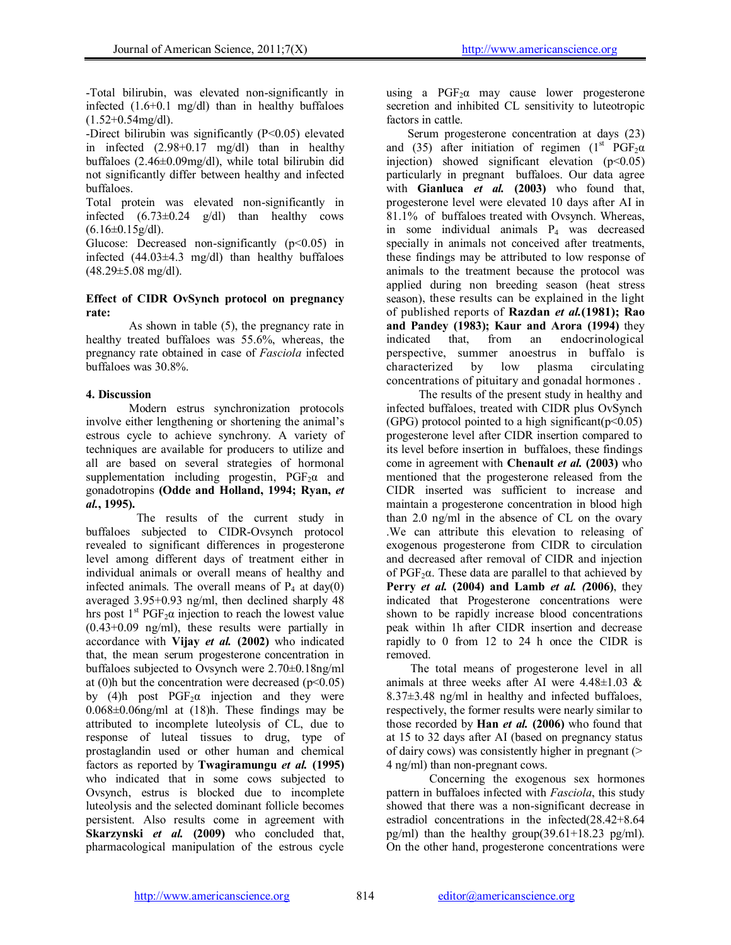-Total bilirubin, was elevated non-significantly in infected (1.6+0.1 mg/dl) than in healthy buffaloes  $(1.52+0.54mg/dl)$ .

-Direct bilirubin was significantly (P<0.05) elevated in infected (2.98+0.17 mg/dl) than in healthy buffaloes (2.46±0.09mg/dl), while total bilirubin did not significantly differ between healthy and infected buffaloes.

Total protein was elevated non-significantly in infected  $(6.73\pm0.24 \text{ g/dl})$  than healthy cows  $(6.16\pm0.15g/dl)$ .

Glucose: Decreased non-significantly  $(p<0.05)$  in infected  $(44.03\pm4.3 \text{ mg/dl})$  than healthy buffaloes  $(48.29 \pm 5.08 \text{ mg/dl}).$ 

### Effect of CIDR OvSynch protocol on pregnancy rate:

As shown in table (5), the pregnancy rate in healthy treated buffaloes was 55.6%, whereas, the pregnancy rate obtained in case of *Fasciola* infected buffaloes was 30.8%.

# 4. Discussion

Modern estrus synchronization protocols involve either lengthening or shortening the animal's estrous cycle to achieve synchrony. A variety of techniques are available for producers to utilize and all are based on several strategies of hormonal supplementation including progestin,  $PGF<sub>2</sub>α$  and gonadotropins (Odde and Holland, 1994; Ryan, *et al.*, 1995).

 The results of the current study in buffaloes subjected to CIDR-Ovsynch protocol revealed to significant differences in progesterone level among different days of treatment either in individual animals or overall means of healthy and infected animals. The overall means of  $P_4$  at day(0) averaged 3.95+0.93 ng/ml, then declined sharply 48 hrs post  $1^{st}$  PGF<sub>2</sub> $\alpha$  injection to reach the lowest value (0.43+0.09 ng/ml), these results were partially in accordance with Vijay *et al.* (2002) who indicated that, the mean serum progesterone concentration in buffaloes subjected to Ovsynch were 2.70±0.18ng/ml at (0)h but the concentration were decreased ( $p<0.05$ ) by (4)h post  $PGF_2\alpha$  injection and they were  $0.068\pm0.06$ ng/ml at  $(18)$ h. These findings may be attributed to incomplete luteolysis of CL, due to response of luteal tissues to drug, type of prostaglandin used or other human and chemical factors as reported by Twagiramungu *et al.* (1995) who indicated that in some cows subjected to Ovsynch, estrus is blocked due to incomplete luteolysis and the selected dominant follicle becomes persistent. Also results come in agreement with Skarzynski *et al.* (2009) who concluded that, pharmacological manipulation of the estrous cycle

using a  $PGF<sub>2</sub>α$  may cause lower progesterone secretion and inhibited CL sensitivity to luteotropic factors in cattle.

 Serum progesterone concentration at days (23) and (35) after initiation of regimen ( $1<sup>st</sup> PGF<sub>2</sub>α$ injection) showed significant elevation  $(p<0.05)$ particularly in pregnant buffaloes. Our data agree with Gianluca *et al.* (2003) who found that, progesterone level were elevated 10 days after AI in 81.1% of buffaloes treated with Ovsynch. Whereas, in some individual animals  $P_4$  was decreased specially in animals not conceived after treatments, these findings may be attributed to low response of animals to the treatment because the protocol was applied during non breeding season (heat stress season), these results can be explained in the light of published reports of Razdan *et al.*(1981); Rao and Pandey (1983); Kaur and Arora (1994) they indicated that, from an endocrinological perspective, summer anoestrus in buffalo is characterized by low plasma circulating characterized concentrations of pituitary and gonadal hormones .

The results of the present study in healthy and infected buffaloes, treated with CIDR plus OvSynch (GPG) protocol pointed to a high significant( $p \le 0.05$ ) progesterone level after CIDR insertion compared to its level before insertion in buffaloes, these findings come in agreement with Chenault *et al.* (2003) who mentioned that the progesterone released from the CIDR inserted was sufficient to increase and maintain a progesterone concentration in blood high than 2.0 ng/ml in the absence of CL on the ovary .We can attribute this elevation to releasing of exogenous progesterone from CIDR to circulation and decreased after removal of CIDR and injection of  $PGF_2\alpha$ . These data are parallel to that achieved by Perry *et al.* (2004) and Lamb *et al. (*2006), they indicated that Progesterone concentrations were shown to be rapidly increase blood concentrations peak within 1h after CIDR insertion and decrease rapidly to 0 from 12 to 24 h once the CIDR is removed.

 The total means of progesterone level in all animals at three weeks after AI were  $4.48\pm1.03$  & 8.37±3.48 ng/ml in healthy and infected buffaloes, respectively, the former results were nearly similar to those recorded by Han *et al.* (2006) who found that at 15 to 32 days after AI (based on pregnancy status of dairy cows) was consistently higher in pregnant (> 4 ng/ml) than non-pregnant cows.

Concerning the exogenous sex hormones pattern in buffaloes infected with *Fasciola*, this study showed that there was a non-significant decrease in estradiol concentrations in the infected(28.42+8.64 pg/ml) than the healthy group(39.61+18.23 pg/ml). On the other hand, progesterone concentrations were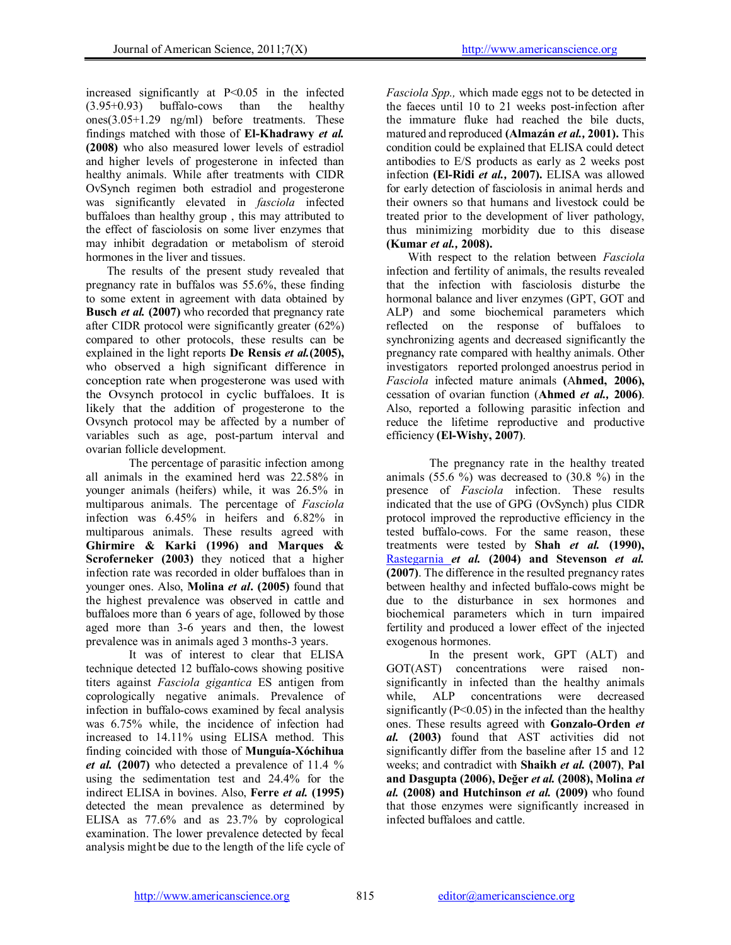increased significantly at P<0.05 in the infected (3.95+0.93) buffalo-cows than the healthy ones(3.05+1.29 ng/ml) before treatments. These findings matched with those of El-Khadrawy *et al.*  (2008) who also measured lower levels of estradiol and higher levels of progesterone in infected than healthy animals. While after treatments with CIDR OvSynch regimen both estradiol and progesterone was significantly elevated in *fasciola* infected buffaloes than healthy group , this may attributed to the effect of fasciolosis on some liver enzymes that may inhibit degradation or metabolism of steroid hormones in the liver and tissues.

 The results of the present study revealed that pregnancy rate in buffalos was 55.6%, these finding to some extent in agreement with data obtained by **Busch** *et al.* (2007) who recorded that pregnancy rate after CIDR protocol were significantly greater (62%) compared to other protocols, these results can be explained in the light reports De Rensis *et al.*(2005), who observed a high significant difference in conception rate when progesterone was used with the Ovsynch protocol in cyclic buffaloes. It is likely that the addition of progesterone to the Ovsynch protocol may be affected by a number of variables such as age, post-partum interval and ovarian follicle development.

The percentage of parasitic infection among all animals in the examined herd was 22.58% in younger animals (heifers) while, it was 26.5% in multiparous animals. The percentage of *Fasciola* infection was 6.45% in heifers and 6.82% in multiparous animals. These results agreed with Ghirmire & Karki (1996) and Marques & Scroferneker (2003) they noticed that a higher infection rate was recorded in older buffaloes than in younger ones. Also, Molina *et al*. (2005) found that the highest prevalence was observed in cattle and buffaloes more than 6 years of age, followed by those aged more than 3-6 years and then, the lowest prevalence was in animals aged 3 months-3 years.

It was of interest to clear that ELISA technique detected 12 buffalo-cows showing positive titers against *Fasciola gigantica* ES antigen from coprologically negative animals. Prevalence of infection in buffalo-cows examined by fecal analysis was 6.75% while, the incidence of infection had increased to 14.11% using ELISA method. This finding coincided with those of Munguía-Xóchihua *et al.* (2007) who detected a prevalence of 11.4 % using the sedimentation test and 24.4% for the indirect ELISA in bovines. Also, Ferre *et al.* (1995) detected the mean prevalence as determined by ELISA as 77.6% and as 23.7% by coprological examination. The lower prevalence detected by fecal analysis might be due to the length of the life cycle of

*Fasciola Spp.,* which made eggs not to be detected in the faeces until 10 to 21 weeks post-infection after the immature fluke had reached the bile ducts, matured and reproduced (Almazán *et al.,* 2001). This condition could be explained that ELISA could detect antibodies to E/S products as early as 2 weeks post infection (El-Ridi *et al.,* 2007). ELISA was allowed for early detection of fasciolosis in animal herds and their owners so that humans and livestock could be treated prior to the development of liver pathology, thus minimizing morbidity due to this disease (Kumar *et al.,* 2008).

With respect to the relation between *Fasciola* infection and fertility of animals, the results revealed that the infection with fasciolosis disturbe the hormonal balance and liver enzymes (GPT, GOT and ALP) and some biochemical parameters which reflected on the response of buffaloes to synchronizing agents and decreased significantly the pregnancy rate compared with healthy animals. Other investigators reported prolonged anoestrus period in *Fasciola* infected mature animals (Ahmed, 2006), cessation of ovarian function (Ahmed *et al.,* 2006). Also, reported a following parasitic infection and reduce the lifetime reproductive and productive efficiency (El-Wishy, 2007).

The pregnancy rate in the healthy treated animals  $(55.6 \%)$  was decreased to  $(30.8 \%)$  in the presence of *Fasciola* infection. These results indicated that the use of GPG (OvSynch) plus CIDR protocol improved the reproductive efficiency in the tested buffalo-cows. For the same reason, these treatments were tested by Shah *et al.* (1990), Rastegarnia *et al.* (2004) and Stevenson *et al.* (2007). The difference in the resulted pregnancy rates between healthy and infected buffalo-cows might be due to the disturbance in sex hormones and biochemical parameters which in turn impaired fertility and produced a lower effect of the injected exogenous hormones.

In the present work, GPT (ALT) and GOT(AST) concentrations were raised nonsignificantly in infected than the healthy animals while, ALP concentrations were decreased significantly  $(P<0.05)$  in the infected than the healthy ones. These results agreed with Gonzalo-Orden *et al.* (2003) found that AST activities did not significantly differ from the baseline after 15 and 12 weeks; and contradict with Shaikh *et al.* (2007), Pal and Dasgupta (2006), Değer *et al.* (2008), Molina *et al.* (2008) and Hutchinson *et al.* (2009) who found that those enzymes were significantly increased in infected buffaloes and cattle.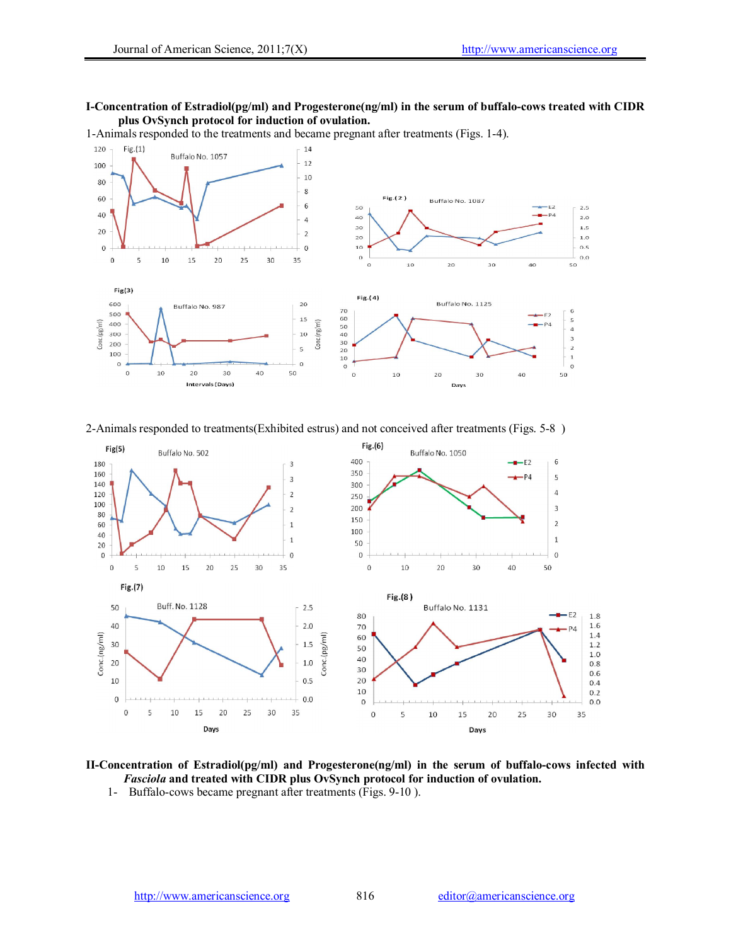#### I-Concentration of Estradiol(pg/ml) and Progesterone(ng/ml) in the serum of buffalo-cows treated with CIDR plus OvSynch protocol for induction of ovulation.

1-Animals responded to the treatments and became pregnant after treatments (Figs. 1-4).



2-Animals responded to treatments(Exhibited estrus) and not conceived after treatments (Figs. 5-8 )



II-Concentration of Estradiol(pg/ml) and Progesterone(ng/ml) in the serum of buffalo-cows infected with *Fasciola* and treated with CIDR plus OvSynch protocol for induction of ovulation.

1- Buffalo-cows became pregnant after treatments (Figs. 9-10 ).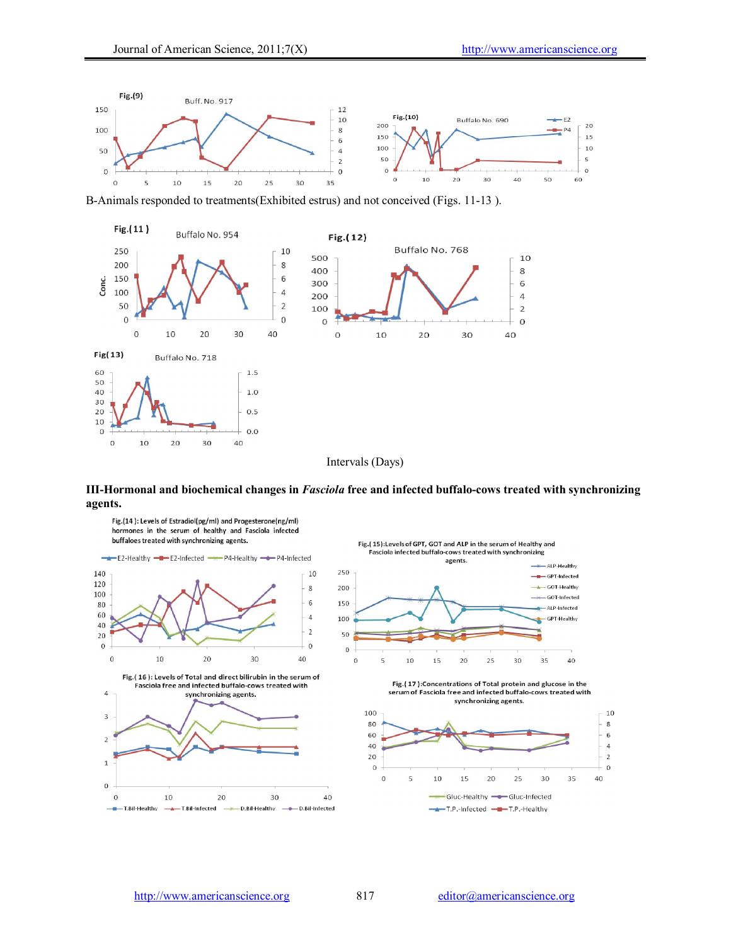



#### III-Hormonal and biochemical changes in *Fasciola* free and infected buffalo-cows treated with synchronizing agents.

Fig.(14): Levels of Estradiol(pg/ml) and Progesterone(ng/ml) hormones in the serum of healthy and Fasciola infected buffaloes treated with synchronizing agents.









 $\,$   $\,$  $\overline{5}$  $10$ 15  $20$  $25$ 30 35 40

Fig.(17):Concentrations of Total protein and glucose in the serum of Fasciola free and infected buffalo-cows treated with synchronizing agents.

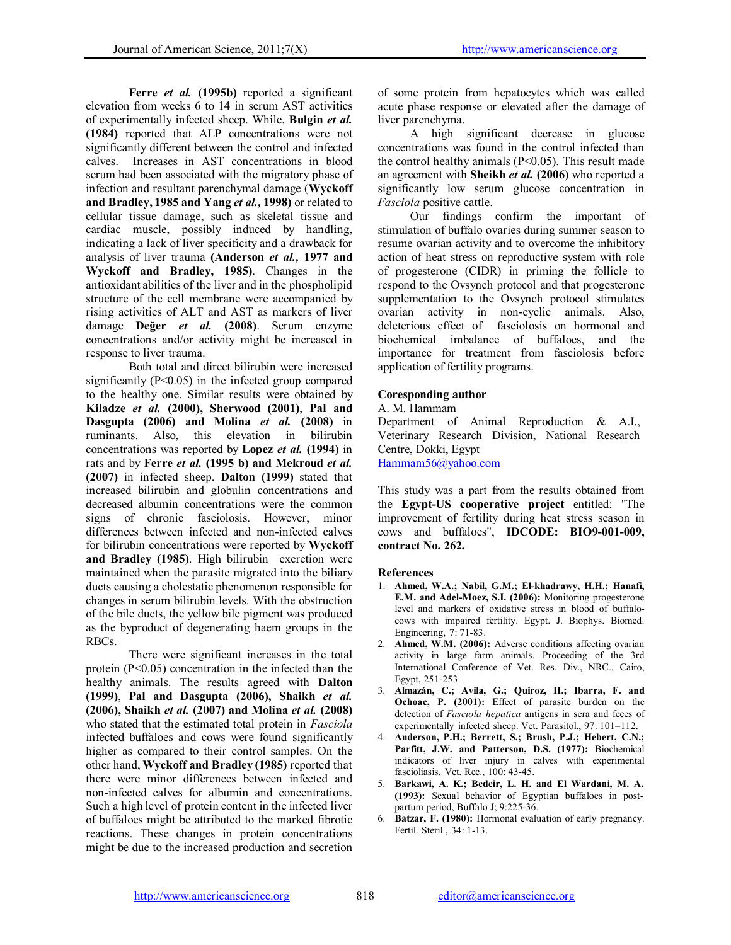Ferre *et al.* (1995b) reported a significant elevation from weeks 6 to 14 in serum AST activities of experimentally infected sheep. While, Bulgin *et al.*  (1984) reported that ALP concentrations were not significantly different between the control and infected calves. Increases in AST concentrations in blood serum had been associated with the migratory phase of infection and resultant parenchymal damage (Wyckoff and Bradley, 1985 and Yang *et al.,* 1998) or related to cellular tissue damage, such as skeletal tissue and cardiac muscle, possibly induced by handling, indicating a lack of liver specificity and a drawback for analysis of liver trauma (Anderson *et al.,* 1977 and Wyckoff and Bradley, 1985). Changes in the antioxidant abilities of the liver and in the phospholipid structure of the cell membrane were accompanied by rising activities of ALT and AST as markers of liver damage Değer *et al.* (2008). Serum enzyme concentrations and/or activity might be increased in response to liver trauma.

Both total and direct bilirubin were increased significantly  $(P<0.05)$  in the infected group compared to the healthy one. Similar results were obtained by Kiladze *et al.* (2000), Sherwood (2001), Pal and Dasgupta (2006) and Molina *et al.* (2008) in ruminants. Also, this elevation in bilirubin concentrations was reported by Lopez *et al.* (1994) in rats and by Ferre *et al.* (1995 b) and Mekroud *et al.* (2007) in infected sheep. Dalton (1999) stated that increased bilirubin and globulin concentrations and decreased albumin concentrations were the common signs of chronic fasciolosis. However, minor differences between infected and non-infected calves for bilirubin concentrations were reported by Wyckoff and Bradley (1985). High bilirubin excretion were maintained when the parasite migrated into the biliary ducts causing a cholestatic phenomenon responsible for changes in serum bilirubin levels. With the obstruction of the bile ducts, the yellow bile pigment was produced as the byproduct of degenerating haem groups in the RBCs.

There were significant increases in the total protein  $(P<0.05)$  concentration in the infected than the healthy animals. The results agreed with Dalton (1999), Pal and Dasgupta (2006), Shaikh *et al.* (2006), Shaikh *et al.* (2007) and Molina *et al.* (2008) who stated that the estimated total protein in *Fasciola* infected buffaloes and cows were found significantly higher as compared to their control samples. On the other hand, Wyckoff and Bradley (1985) reported that there were minor differences between infected and non-infected calves for albumin and concentrations. Such a high level of protein content in the infected liver of buffaloes might be attributed to the marked fibrotic reactions. These changes in protein concentrations might be due to the increased production and secretion of some protein from hepatocytes which was called acute phase response or elevated after the damage of liver parenchyma.

A high significant decrease in glucose concentrations was found in the control infected than the control healthy animals  $(P<0.05)$ . This result made an agreement with Sheikh *et al.* (2006) who reported a significantly low serum glucose concentration in *Fasciola* positive cattle.

Our findings confirm the important of stimulation of buffalo ovaries during summer season to resume ovarian activity and to overcome the inhibitory action of heat stress on reproductive system with role of progesterone (CIDR) in priming the follicle to respond to the Ovsynch protocol and that progesterone supplementation to the Ovsynch protocol stimulates ovarian activity in non-cyclic animals. Also, deleterious effect of fasciolosis on hormonal and biochemical imbalance of buffaloes, and the importance for treatment from fasciolosis before application of fertility programs.

### Coresponding author

A. M. Hammam

Department of Animal Reproduction & A.I., Veterinary Research Division, National Research Centre, Dokki, Egypt Hammam56@yahoo.com

This study was a part from the results obtained from the Egypt-US cooperative project entitled: "The improvement of fertility during heat stress season in cows and buffaloes", IDCODE: BIO9-001-009, contract No. 262.

### References

- 1. Ahmed, W.A.; Nabil, G.M.; El-khadrawy, H.H.; Hanafi, E.M. and Adel-Moez, S.I. (2006): Monitoring progesterone level and markers of oxidative stress in blood of buffalocows with impaired fertility. Egypt. J. Biophys. Biomed. Engineering, 7: 71-83.
- 2. Ahmed, W.M. (2006): Adverse conditions affecting ovarian activity in large farm animals. Proceeding of the 3rd International Conference of Vet. Res. Div., NRC., Cairo, Egypt, 251-253.
- 3. Almazán, C.; Avila, G.; Quiroz, H.; Ibarra, F. and Ochoac, P. (2001): Effect of parasite burden on the detection of *Fasciola hepatica* antigens in sera and feces of experimentally infected sheep. Vet. Parasitol., 97: 101–112.
- 4. Anderson, P.H.; Berrett, S.; Brush, P.J.; Hebert, C.N.; Parfitt, J.W. and Patterson, D.S. (1977): Biochemical indicators of liver injury in calves with experimental fascioliasis. Vet. Rec., 100: 43-45.
- 5. Barkawi, A. K.; Bedeir, L. H. and El Wardani, M. A. (1993): Sexual behavior of Egyptian buffaloes in postpartum period, Buffalo J; 9:225-36.
- 6. Batzar, F. (1980): Hormonal evaluation of early pregnancy. Fertil. Steril., 34: 1-13.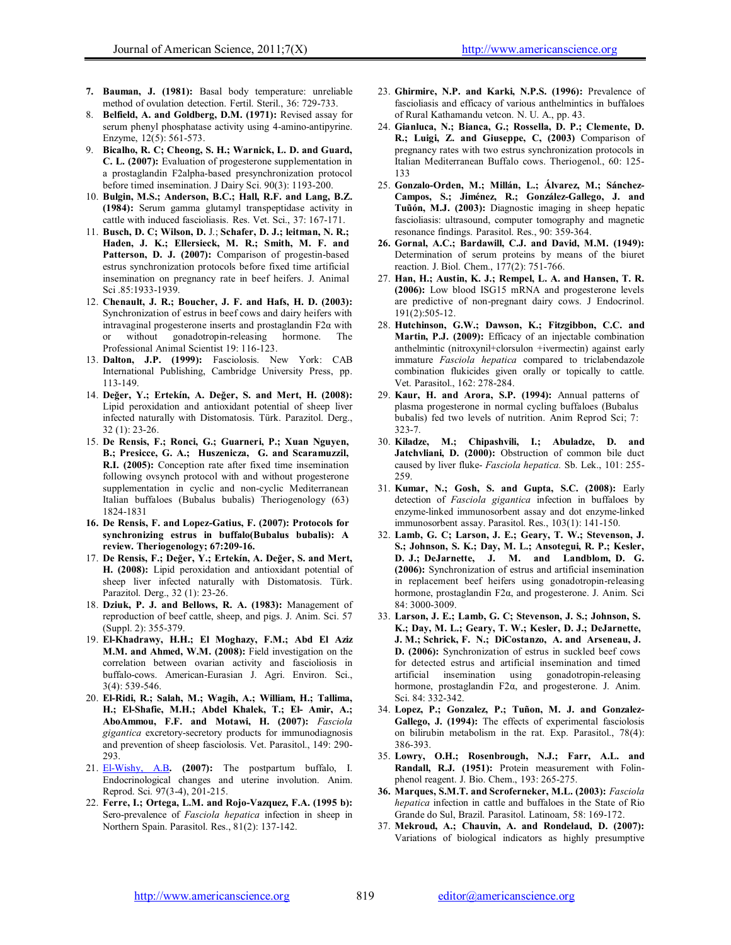- 7. Bauman, J. (1981): Basal body temperature: unreliable method of ovulation detection. Fertil. Steril., 36: 729-733.
- 8. Belfield, A. and Goldberg, D.M. (1971): Revised assay for serum phenyl phosphatase activity using 4-amino-antipyrine. Enzyme, 12(5): 561-573.
- 9. Bicalho, R. C; Cheong, S. H.; Warnick, L. D. and Guard, C. L. (2007): Evaluation of progesterone supplementation in a prostaglandin F2alpha-based presynchronization protocol before timed insemination. J Dairy Sci. 90(3): 1193-200.
- 10. Bulgin, M.S.; Anderson, B.C.; Hall, R.F. and Lang, B.Z. (1984): Serum gamma glutamyl transpeptidase activity in cattle with induced fascioliasis. Res. Vet. Sci., 37: 167-171.
- 11. Busch, D. C; Wilson, D. J.; Schafer, D. J.; leitman, N. R.; Haden, J. K.; Ellersieck, M. R.; Smith, M. F. and Patterson, D. J. (2007): Comparison of progestin-based estrus synchronization protocols before fixed time artificial insemination on pregnancy rate in beef heifers. J. Animal Sci .85:1933-1939.
- 12. Chenault, J. R.; Boucher, J. F. and Hafs, H. D. (2003): Synchronization of estrus in beef cows and dairy heifers with intravaginal progesterone inserts and prostaglandin  $F2\alpha$  with or without gonadotropin-releasing hormone. The Professional Animal Scientist 19: 116-123.
- 13. Dalton, J.P. (1999): Fasciolosis. New York: CAB International Publishing, Cambridge University Press, pp. 113-149.
- 14. Değer, Y.; Ertekín, A. Değer, S. and Mert, H. (2008): Lipid peroxidation and antioxidant potential of sheep liver infected naturally with Distomatosis. Türk. Parazitol. Derg., 32 (1): 23-26.
- 15. De Rensis, F.; Ronci, G.; Guarneri, P.; Xuan Nguyen, B.; Presicce, G. A.; Huszenicza, G. and Scaramuzzil, R.I. (2005): Conception rate after fixed time insemination following ovsynch protocol with and without progesterone supplementation in cyclic and non-cyclic Mediterranean Italian buffaloes (Bubalus bubalis) Theriogenology (63) 1824-1831
- 16. De Rensis, F. and Lopez-Gatius, F. (2007): Protocols for synchronizing estrus in buffalo(Bubalus bubalis): A review. Theriogenology; 67:209-16.
- 17. De Rensis, F.; Değer, Y.; Ertekín, A. Değer, S. and Mert, H. (2008): Lipid peroxidation and antioxidant potential of sheep liver infected naturally with Distomatosis. Türk. Parazitol. Derg., 32 (1): 23-26.
- 18. Dziuk, P. J. and Bellows, R. A. (1983): Management of reproduction of beef cattle, sheep, and pigs. J. Anim. Sci. 57 (Suppl. 2): 355-379.
- 19. El-Khadrawy, H.H.; El Moghazy, F.M.; Abd El Aziz M.M. and Ahmed, W.M. (2008): Field investigation on the correlation between ovarian activity and fascioliosis in buffalo-cows. American-Eurasian J. Agri. Environ. Sci., 3(4): 539-546.
- 20. El-Ridi, R.; Salah, M.; Wagih, A.; William, H.; Tallima, H.; El-Shafie, M.H.; Abdel Khalek, T.; El- Amir, A.; AboAmmou, F.F. and Motawi, H. (2007): *Fasciola gigantica* excretory-secretory products for immunodiagnosis and prevention of sheep fasciolosis. Vet. Parasitol., 149: 290- 293.
- 21.  $E1-Wishy$ , A.B. (2007): The postpartum buffalo, I. Endocrinological changes and uterine involution. Anim. Reprod. Sci. 97(3-4), 201-215.
- 22. Ferre, I.; Ortega, L.M. and Rojo-Vazquez, F.A. (1995 b): Sero-prevalence of *Fasciola hepatica* infection in sheep in Northern Spain. Parasitol. Res., 81(2): 137-142.
- 23. Ghirmire, N.P. and Karki, N.P.S. (1996): Prevalence of fascioliasis and efficacy of various anthelmintics in buffaloes of Rural Kathamandu vetcon. N. U. A., pp. 43.
- 24. Gianluca, N.; Bianca, G.; Rossella, D. P.; Clemente, D. R.; Luigi, Z. and Giuseppe, C, (2003) Comparison of pregnancy rates with two estrus synchronization protocols in Italian Mediterranean Buffalo cows. Theriogenol., 60: 125- 133
- 25. Gonzalo-Orden, M.; Millán, L.; Álvarez, M.; Sánchez-Campos, S.; Jiménez, R.; González-Gallego, J. and Tuũón, M.J. (2003): Diagnostic imaging in sheep hepatic fascioliasis: ultrasound, computer tomography and magnetic resonance findings. Parasitol. Res., 90: 359-364.
- 26. Gornal, A.C.; Bardawill, C.J. and David, M.M. (1949): Determination of serum proteins by means of the biuret reaction. J. Biol. Chem., 177(2): 751-766.
- 27. Han, H.; Austin, K. J.; Rempel, L. A. and Hansen, T. R. (2006): Low blood ISG15 mRNA and progesterone levels are predictive of non-pregnant dairy cows. J Endocrinol. 191(2):505-12.
- 28. Hutchinson, G.W.; Dawson, K.; Fitzgibbon, C.C. and Martin, P.J. (2009): Efficacy of an injectable combination anthelmintic (nitroxynil+clorsulon +ivermectin) against early immature *Fasciola hepatica* compared to triclabendazole combination flukicides given orally or topically to cattle. Vet. Parasitol., 162: 278-284.
- 29. Kaur, H. and Arora, S.P. (1994): Annual patterns of plasma progesterone in normal cycling buffaloes (Bubalus bubalis) fed two levels of nutrition. Anim Reprod Sci; 7: 323-7.
- 30. Kiladze, M.; Chipashvili, I.; Abuladze, D. and Jatchvliani, D. (2000): Obstruction of common bile duct caused by liver fluke- *Fasciola hepatica.* Sb. Lek., 101: 255- 259.
- 31. Kumar, N.; Gosh, S. and Gupta, S.C. (2008): Early detection of *Fasciola gigantica* infection in buffaloes by enzyme-linked immunosorbent assay and dot enzyme-linked immunosorbent assay. Parasitol. Res., 103(1): 141-150.
- 32. Lamb, G. C; Larson, J. E.; Geary, T. W.; Stevenson, J. S.; Johnson, S. K.; Day, M. L.; Ansotegui, R. P.; Kesler, D. J.; DeJarnette, J. M. and Landblom, D. G. (2006): Synchronization of estrus and artificial insemination in replacement beef heifers using gonadotropin-releasing hormone, prostaglandin F2α, and progesterone. J. Anim. Sci 84: 3000-3009.
- 33. Larson, J. E.; Lamb, G. C; Stevenson, J. S.; Johnson, S. K.; Day, M. L.; Geary, T. W.; Kesler, D. J.; DeJarnette, J. M.; Schrick, F. N.; DiCostanzo, A. and Arseneau, J. D. (2006): Synchronization of estrus in suckled beef cows for detected estrus and artificial insemination and timed artificial insemination using gonadotropin-releasing hormone, prostaglandin  $F2\alpha$ , and progesterone. J. Anim. Sci. 84: 332-342.
- 34. Lopez, P.; Gonzalez, P.; Tuñon, M. J. and Gonzalez-Gallego, J. (1994): The effects of experimental fasciolosis on bilirubin metabolism in the rat. Exp. Parasitol., 78(4): 386-393.
- 35. Lowry, O.H.; Rosenbrough, N.J.; Farr, A.L. and Randall, R.J. (1951): Protein measurement with Folinphenol reagent. J. Bio. Chem., 193: 265-275.
- 36. Marques, S.M.T. and Scroferneker, M.L. (2003): *Fasciola hepatica* infection in cattle and buffaloes in the State of Rio Grande do Sul, Brazil. Parasitol. Latinoam, 58: 169-172.
- 37. Mekroud, A.; Chauvin, A. and Rondelaud, D. (2007): Variations of biological indicators as highly presumptive